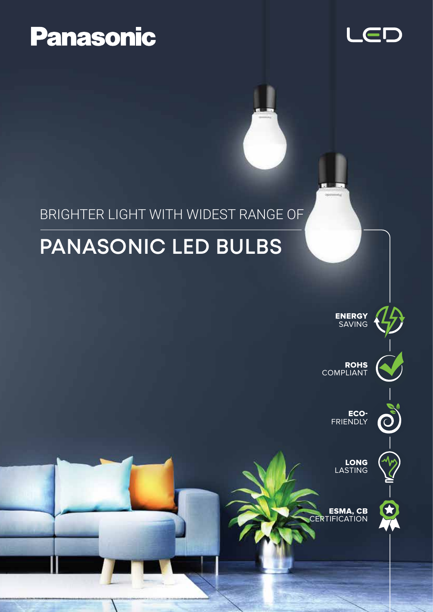# **Panasonic**



#### BRIGHTER LIGHT WITH WIDEST RANGE OF

## **PANASONIC LED BULBS**



ESMA, CB *CERTIFICATION*